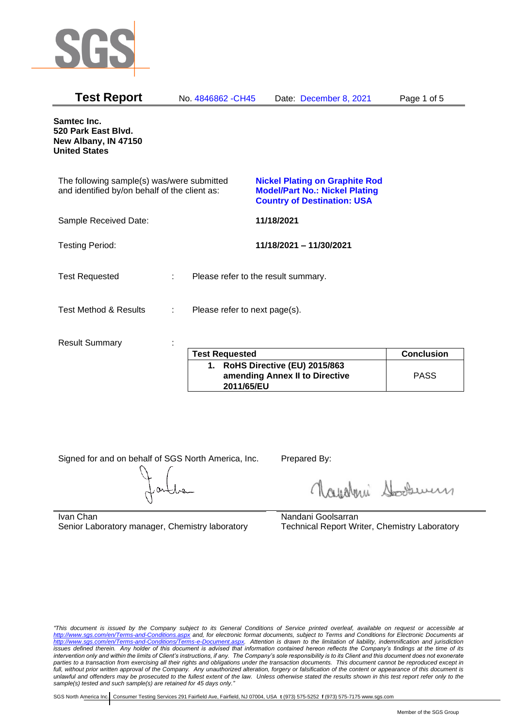

| <b>Test Report</b>                                                                          |   | No. 4846862 - CH45                  | Date: December 8, 2021                                                                                               | Page 1 of 5       |
|---------------------------------------------------------------------------------------------|---|-------------------------------------|----------------------------------------------------------------------------------------------------------------------|-------------------|
| Samtec Inc.<br>520 Park East Blvd.<br>New Albany, IN 47150<br><b>United States</b>          |   |                                     |                                                                                                                      |                   |
| The following sample(s) was/were submitted<br>and identified by/on behalf of the client as: |   |                                     | <b>Nickel Plating on Graphite Rod</b><br><b>Model/Part No.: Nickel Plating</b><br><b>Country of Destination: USA</b> |                   |
| Sample Received Date:                                                                       |   |                                     | 11/18/2021                                                                                                           |                   |
| <b>Testing Period:</b>                                                                      |   |                                     | 11/18/2021 - 11/30/2021                                                                                              |                   |
| <b>Test Requested</b>                                                                       | ÷ | Please refer to the result summary. |                                                                                                                      |                   |
| <b>Test Method &amp; Results</b>                                                            | ÷ | Please refer to next page(s).       |                                                                                                                      |                   |
| <b>Result Summary</b>                                                                       |   | <b>Test Requested</b>               |                                                                                                                      | <b>Conclusion</b> |
|                                                                                             |   |                                     | $\lambda$ Delle Diseative (FII) 2045/062                                                                             |                   |

| <b>Test Requested</b>                                                           | <b>Conclusion</b> |
|---------------------------------------------------------------------------------|-------------------|
| 1. RoHS Directive (EU) 2015/863<br>amending Annex II to Directive<br>2011/65/EU | <b>PASS</b>       |

Signed for and on behalf of SGS North America, Inc. Prepared By:

Navaleni Soomun

Ivan Chan Senior Laboratory manager, Chemistry laboratory Nandani Goolsarran Technical Report Writer, Chemistry Laboratory

*"This document is issued by the Company subject to its General Conditions of Service printed overleaf, available on request or accessible at <http://www.sgs.com/en/Terms-and-Conditions.aspx> and, for electronic format documents, subject to Terms and Conditions for Electronic Documents at [http://www.sgs.com/en/Terms-and-Conditions/Terms-e-Document.aspx.](http://www.sgs.com/en/Terms-and-Conditions/Terms-e-Document.aspx) Attention is drawn to the limitation of liability, indemnification and jurisdiction issues defined therein. Any holder of this document is advised that information contained hereon reflects the Company's findings at the time of its intervention only and within the limits of Client's instructions, if any. The Company's sole responsibility is to its Client and this document does not exonerate parties to a transaction from exercising all their rights and obligations under the transaction documents. This document cannot be reproduced except in full, without prior written approval of the Company. Any unauthorized alteration, forgery or falsification of the content or appearance of this document is unlawful and offenders may be prosecuted to the fullest extent of the law. Unless otherwise stated the results shown in this test report refer only to the sample(s) tested and such sample(s) are retained for 45 days only."*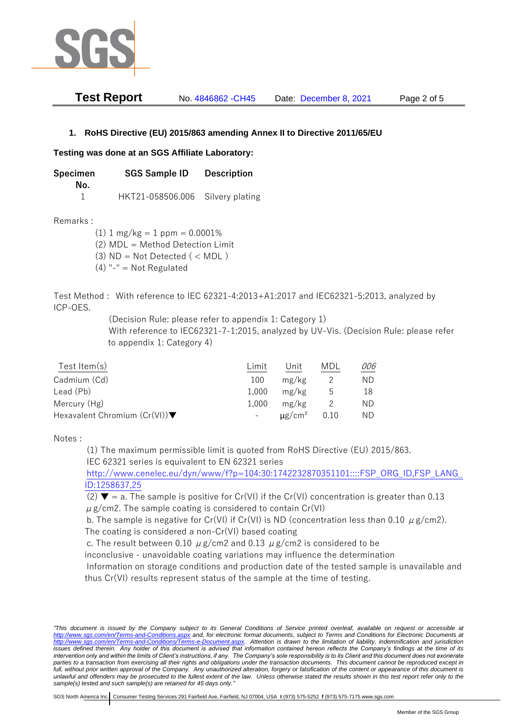

| <b>Test Report</b> | No. 4846862 - CH45 | Date: December 8, 2021 | Page 2 of 5 |
|--------------------|--------------------|------------------------|-------------|
|--------------------|--------------------|------------------------|-------------|

## **1. RoHS Directive (EU) 2015/863 amending Annex II to Directive 2011/65/EU**

## **Testing was done at an SGS Affiliate Laboratory:**

**Specimen SGS Sample ID Description No.** 1 HKT21-058506.006 Silvery plating

Remarks :

 $(1)$  1 mg/kg = 1 ppm = 0.0001% (2) MDL = Method Detection Limit

 $(3)$  ND = Not Detected  $($  < MDL)

(4) "-" = Not Regulated

Test Method : With reference to IEC 62321-4:2013+A1:2017 and IEC62321-5:2013, analyzed by ICP-OES.

(Decision Rule: please refer to appendix 1: Category 1)

With reference to IEC62321-7-1:2015, analyzed by UV-Vis. (Decision Rule: please refer to appendix 1: Category 4)

| Test Item(s)                                     | Limit | Unit                    | MDI  | 006 |
|--------------------------------------------------|-------|-------------------------|------|-----|
| Cadmium (Cd)                                     | 100   | mg/kg                   |      | ND  |
| Lead (Pb)                                        | 1.000 | mg/kg                   | b    | 18  |
| Mercury (Hg)                                     | 1.000 | mg/kg                   |      | ND  |
| Hexavalent Chromium $(Cr(VI))\blacktriangledown$ |       | $\mu$ g/cm <sup>2</sup> | 0.10 | ND. |

Notes :

(1) The maximum permissible limit is quoted from RoHS Directive (EU) 2015/863. IEC 62321 series is equivalent to EN 62321 series

[http://www.cenelec.eu/dyn/www/f?p=104:30:1742232870351101::::FSP\\_ORG\\_ID,FSP\\_LANG\\_](http://www.cenelec.eu/dyn/www/f?p=104:30:1742232870351101::::FSP_ORG_ID,FSP_LANG_ID:1258637,25) [ID:1258637,25](http://www.cenelec.eu/dyn/www/f?p=104:30:1742232870351101::::FSP_ORG_ID,FSP_LANG_ID:1258637,25)

(2)  $\blacktriangledown$  = a. The sample is positive for Cr(VI) if the Cr(VI) concentration is greater than 0.13  $\mu$  g/cm2. The sample coating is considered to contain Cr(VI)

b. The sample is negative for Cr(VI) if Cr(VI) is ND (concentration less than 0.10  $\mu$  g/cm2). The coating is considered a non-Cr(VI) based coating

c. The result between 0.10  $\mu$  g/cm2 and 0.13  $\mu$  g/cm2 is considered to be

inconclusive - unavoidable coating variations may influence the determination

Information on storage conditions and production date of the tested sample is unavailable and thus Cr(VI) results represent status of the sample at the time of testing.

*"This document is issued by the Company subject to its General Conditions of Service printed overleaf, available on request or accessible at <http://www.sgs.com/en/Terms-and-Conditions.aspx> and, for electronic format documents, subject to Terms and Conditions for Electronic Documents at [http://www.sgs.com/en/Terms-and-Conditions/Terms-e-Document.aspx.](http://www.sgs.com/en/Terms-and-Conditions/Terms-e-Document.aspx) Attention is drawn to the limitation of liability, indemnification and jurisdiction*  issues defined therein. Any holder of this document is advised that information contained hereon reflects the Company's findings at the time of its *intervention only and within the limits of Client's instructions, if any. The Company's sole responsibility is to its Client and this document does not exonerate*  parties to a transaction from exercising all their rights and obligations under the transaction documents. This document cannot be reproduced except in *full, without prior written approval of the Company. Any unauthorized alteration, forgery or falsification of the content or appearance of this document is unlawful and offenders may be prosecuted to the fullest extent of the law. Unless otherwise stated the results shown in this test report refer only to the sample(s) tested and such sample(s) are retained for 45 days only."*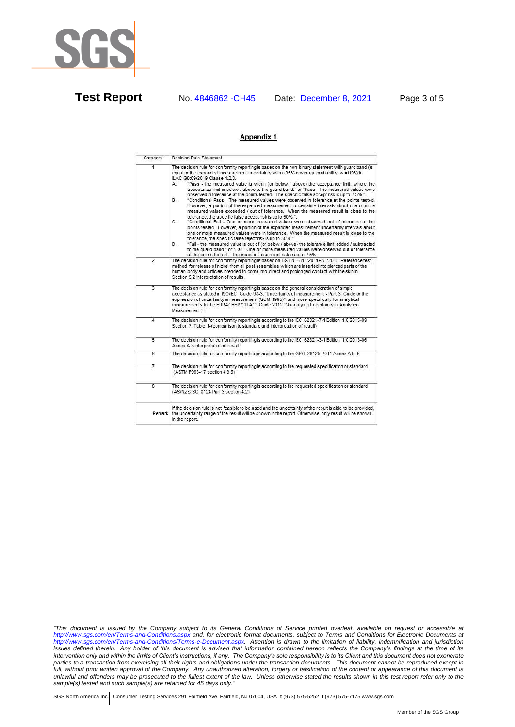

**Test Report** No. 4846862 -CH45 Date: December 8, 2021 Page 3 of 5

## Appendix 1

| Category       | Decision Rule Statement                                                                                                                                                                                                                                                                                                                                                                                                                                                                                                                                                                                                                                                                                                                                                                                                                                                                                                                                                                                                                                                                                                                                                                                                                                                                                                                                                                                                                                                                                            |
|----------------|--------------------------------------------------------------------------------------------------------------------------------------------------------------------------------------------------------------------------------------------------------------------------------------------------------------------------------------------------------------------------------------------------------------------------------------------------------------------------------------------------------------------------------------------------------------------------------------------------------------------------------------------------------------------------------------------------------------------------------------------------------------------------------------------------------------------------------------------------------------------------------------------------------------------------------------------------------------------------------------------------------------------------------------------------------------------------------------------------------------------------------------------------------------------------------------------------------------------------------------------------------------------------------------------------------------------------------------------------------------------------------------------------------------------------------------------------------------------------------------------------------------------|
| $\overline{1}$ | The decision rule for conformity reporting is based on the non-binary statement with quard band (is<br>equal to the expanded measurement uncertainty with a 95% coverage probability, w = U95) in<br>ILAC-G8:09/2019 Clause 4.2.3.<br>"Pass - the measured value is within (or below / above) the acceptance limit, where the<br>А.<br>acceptance limit is below / above to the quard band." or "Pass - The measured values were<br>observed in tolerance at the points tested. The specific false accept risk is up to 2.5%.".<br>"Conditional Pass - The measured values were observed in tolerance at the points tested.<br>В.<br>However, a portion of the expanded measurement uncertainty intervals about one or more<br>measured values exceeded / out of tolerance. When the measured result is close to the<br>tolerance, the specific false accept risk is up to 50%.".<br>C.<br>"Conditional Fail - One or more measured values were observed out of tolerance at the<br>points tested. However, a portion of the expanded measurement uncertainty intervals about<br>one or more measured values were in tolerance. When the measured result is close to the<br>tolerance, the specific false reject risk is up to 50%.".<br>"Fail - the measured value is out of (or below / above) the tolerance limit added / subtracted<br>D.<br>to the quard band." or "Fail - One or more measured values were observed out of tolerance<br>at the points tested". The specific false reject risk is up to 2.5%. |
| $\overline{2}$ | The decision rule for conformity reporting is based on BS EN 1811:2011+A1:2015: Reference test<br>method for release of nickel from all post assemblies which are inserted into pierced parts of the<br>human body and articles intended to come into direct and prolonged contact with the skin in<br>Section 9.2 interpretation of results.                                                                                                                                                                                                                                                                                                                                                                                                                                                                                                                                                                                                                                                                                                                                                                                                                                                                                                                                                                                                                                                                                                                                                                      |
| $\overline{3}$ | The decision rule for conformity reporting is based on the general consideration of simple<br>acceptance as stated in ISO/IEC Guide 98-3: "Uncertainty of measurement - Part 3: Guide to the<br>expression of uncertainty in measurement (GUM 1995)", and more specifically for analytical<br>measurements to the EURACHEM/CITAC Guide 2012 "Quantifying Uncertainty in Analytical<br>Measurement *                                                                                                                                                                                                                                                                                                                                                                                                                                                                                                                                                                                                                                                                                                                                                                                                                                                                                                                                                                                                                                                                                                                |
| 4              | The decision rule for conformity reporting is according to the IEC 62321-7-1 Edition 1.0 2015-09<br>Section 7: Table 1-(comparison to standard and interpretation of result)                                                                                                                                                                                                                                                                                                                                                                                                                                                                                                                                                                                                                                                                                                                                                                                                                                                                                                                                                                                                                                                                                                                                                                                                                                                                                                                                       |
| $\overline{5}$ | The decision rule for conformity reporting is according to the IEC 62321-3-1 Edition 1.0 2013-06<br>Annex A.3 interpretation of result.                                                                                                                                                                                                                                                                                                                                                                                                                                                                                                                                                                                                                                                                                                                                                                                                                                                                                                                                                                                                                                                                                                                                                                                                                                                                                                                                                                            |
| $\overline{6}$ | The decision rule for conformity reporting is according to the GB/T 26125-2011 Annex A to H                                                                                                                                                                                                                                                                                                                                                                                                                                                                                                                                                                                                                                                                                                                                                                                                                                                                                                                                                                                                                                                                                                                                                                                                                                                                                                                                                                                                                        |
| 7              | The decision rule for conformity reporting is according to the requested specification or standard<br>(ASTM F963-17 section 4.3.5)                                                                                                                                                                                                                                                                                                                                                                                                                                                                                                                                                                                                                                                                                                                                                                                                                                                                                                                                                                                                                                                                                                                                                                                                                                                                                                                                                                                 |
| $\overline{8}$ | The decision rule for conformity reporting is according to the requested specification or standard<br>(AS/NZS ISO 8124 Part 3 section 4.2)                                                                                                                                                                                                                                                                                                                                                                                                                                                                                                                                                                                                                                                                                                                                                                                                                                                                                                                                                                                                                                                                                                                                                                                                                                                                                                                                                                         |
| Remark         | If the decision rule is not feasible to be used and the uncertainty of the result is able to be provided.<br>the uncertainty range of the result will be shown in the report. Otherwise, only result will be shown<br>in the report.                                                                                                                                                                                                                                                                                                                                                                                                                                                                                                                                                                                                                                                                                                                                                                                                                                                                                                                                                                                                                                                                                                                                                                                                                                                                               |

*"This document is issued by the Company subject to its General Conditions of Service printed overleaf, available on request or accessible at <http://www.sgs.com/en/Terms-and-Conditions.aspx> and, for electronic format documents, subject to Terms and Conditions for Electronic Documents at [http://www.sgs.com/en/Terms-and-Conditions/Terms-e-Document.aspx.](http://www.sgs.com/en/Terms-and-Conditions/Terms-e-Document.aspx) Attention is drawn to the limitation of liability, indemnification and jurisdiction issues defined therein. Any holder of this document is advised that information contained hereon reflects the Company's findings at the time of its intervention only and within the limits of Client's instructions, if any. The Company's sole responsibility is to its Client and this document does not exonerate parties to a transaction from exercising all their rights and obligations under the transaction documents. This document cannot be reproduced except in full, without prior written approval of the Company. Any unauthorized alteration, forgery or falsification of the content or appearance of this document is unlawful and offenders may be prosecuted to the fullest extent of the law. Unless otherwise stated the results shown in this test report refer only to the sample(s) tested and such sample(s) are retained for 45 days only."*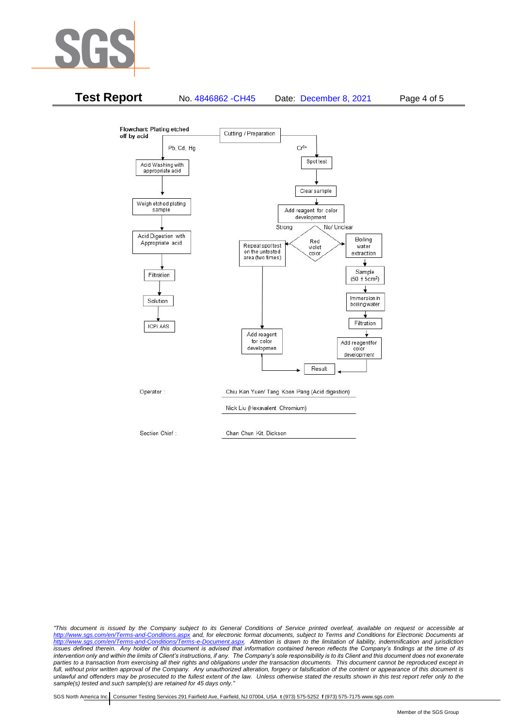



*"This document is issued by the Company subject to its General Conditions of Service printed overleaf, available on request or accessible at <http://www.sgs.com/en/Terms-and-Conditions.aspx> and, for electronic format documents, subject to Terms and Conditions for Electronic Documents at [http://www.sgs.com/en/Terms-and-Conditions/Terms-e-Document.aspx.](http://www.sgs.com/en/Terms-and-Conditions/Terms-e-Document.aspx) Attention is drawn to the limitation of liability, indemnification and jurisdiction issues defined therein. Any holder of this document is advised that information contained hereon reflects the Company's findings at the time of its intervention only and within the limits of Client's instructions, if any. The Company's sole responsibility is to its Client and this document does not exonerate*  parties to a transaction from exercising all their rights and obligations under the transaction documents. This document cannot be reproduced except in *full, without prior written approval of the Company. Any unauthorized alteration, forgery or falsification of the content or appearance of this document is unlawful and offenders may be prosecuted to the fullest extent of the law. Unless otherwise stated the results shown in this test report refer only to the sample(s) tested and such sample(s) are retained for 45 days only."*